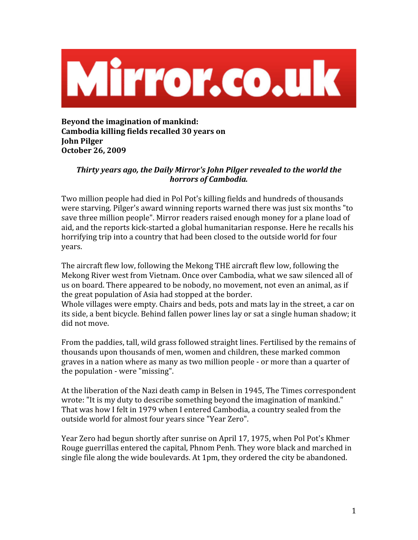

**Beyond
the
imagination
of
mankind: Cambodia
killing
fields
recalled
30
years
on John
Pilger October
26,
2009**

## Thirty vears ago, the Daily Mirror's John Pilger revealed to the world the *horrors
of
Cambodia.*

Two
million
people
had
died
in
Pol
Pot's
killing
fields
and
hundreds
of
thousands were starving. Pilger's award winning reports warned there was just six months "to save
three
million
people".
Mirror
readers
raised
enough
money
for
a
plane
load
of aid,
and
the
reports
kick‐started
a
global
humanitarian
response.
Here
he
recalls
his horrifying trip into a country that had been closed to the outside world for four years.

The
aircraft
flew
low,
following
the
Mekong
THE
aircraft
flew
low,
following
the Mekong River west from Vietnam. Once over Cambodia, what we saw silenced all of us on board. There appeared to be nobody, no movement, not even an animal, as if the
great
population
of
Asia
had
stopped
at
the
border.

Whole villages were empty. Chairs and beds, pots and mats lay in the street, a car on its
side,
a
bent
bicycle.
Behind
fallen
power
lines
lay
or
sat
a
single
human
shadow;
it did
not
move.

From the paddies, tall, wild grass followed straight lines. Fertilised by the remains of thousands
upon
thousands
of
men,
women
and
children,
these
marked
common graves
in
a
nation
where
as
many
as
two
million
people
‐
or
more
than
a
quarter
of the
population
‐
were
"missing".

At
the
liberation
of
the
Nazi
death
camp
in
Belsen
in
1945,
The
Times
correspondent wrote: "It is my duty to describe something beyond the imagination of mankind." That was how I felt in 1979 when I entered Cambodia, a country sealed from the outside
world
for
almost
four
years
since
"Year
Zero".

Year Zero had begun shortly after sunrise on April 17, 1975, when Pol Pot's Khmer Rouge guerrillas entered the capital, Phnom Penh. They wore black and marched in single file along the wide boulevards. At 1pm, they ordered the city be abandoned.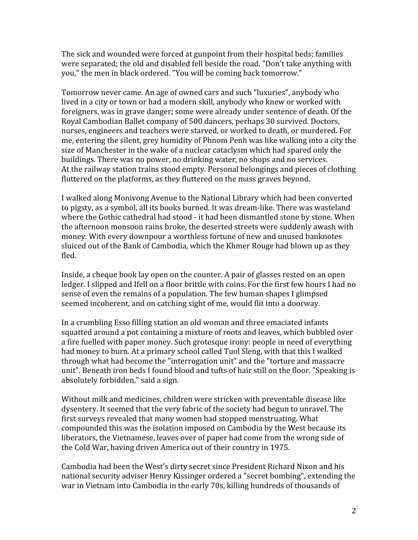The
sick
and
wounded
were
forced
at
gunpoint
from
their
hospital
beds;
families were separated; the old and disabled fell beside the road. "Don't take anything with you,"
the
men
in
black
ordered.
"You
will
be
coming
back
tomorrow."

Tomorrow
never
came.
An
age
of
owned
cars
and
such
"luxuries",
anybody
who lived
in
a
city
or
town
or
had
a
modern
skill,
anybody
who
knew
or
worked
with foreigners, was in grave danger; some were already under sentence of death. Of the Royal
Cambodian
Ballet
company
of
500
dancers,
perhaps
30
survived.
Doctors, nurses,
engineers
and
teachers
were
starved,
or
worked
to
death,
or
murdered.
For me,
entering
the
silent,
grey
humidity
of
Phnom
Penh
was
like
walking
into
a
city
the size of Manchester in the wake of a nuclear cataclysm which had spared only the buildings.
There
was
no
power,
no
drinking
water,
no
shops
and
no
services. At the railway station trains stood empty. Personal belongings and pieces of clothing fluttered on the platforms, as they fluttered on the mass graves beyond.

I walked along Monivong Avenue to the National Library which had been converted to pigsty, as a symbol, all its books burned. It was dream-like. There was wasteland where the Gothic cathedral had stood - it had been dismantled stone by stone. When the
afternoon
monsoon
rains
broke,
the
deserted
streets
were
suddenly
awash
with money.
With
every
downpour
a
worthless
fortune
of
new
and
unused
banknotes sluiced out of the Bank of Cambodia, which the Khmer Rouge had blown up as they fled.

Inside, a cheque book lay open on the counter. A pair of glasses rested on an open ledger. I slipped and Ifell on a floor brittle with coins. For the first few hours I had no sense of even the remains of a population. The few human shapes I glimpsed seemed incoherent, and on catching sight of me, would flit into a doorway.

In a crumbling Esso filling station an old woman and three emaciated infants squatted around a pot containing a mixture of roots and leaves, which bubbled over a fire fuelled with paper money. Such grotesque irony: people in need of everything had money to burn. At a primary school called Tuol Sleng, with that this I walked through what had become the "interrogation unit" and the "torture and massacre unit". Beneath iron beds I found blood and tufts of hair still on the floor. "Speaking is absolutely
forbidden,"
said
a
sign.

Without milk and medicines, children were stricken with preventable disease like dysentery. It seemed that the very fabric of the society had begun to unravel. The first surveys revealed that many women had stopped menstruating. What compounded
this
was
the
isolation
imposed
on
Cambodia
by
the
West
because
its liberators, the Vietnamese, leaves over of paper had come from the wrong side of the
Cold
War,
having
driven
America
out
of
their
country
in
1975.

Cambodia
had
been
the
West's
dirty
secret
since
President
Richard
Nixon
and
his national
security
adviser
Henry
Kissinger
ordered
a
"secret
bombing",
extending
the war in Vietnam into Cambodia in the early 70s, killing hundreds of thousands of